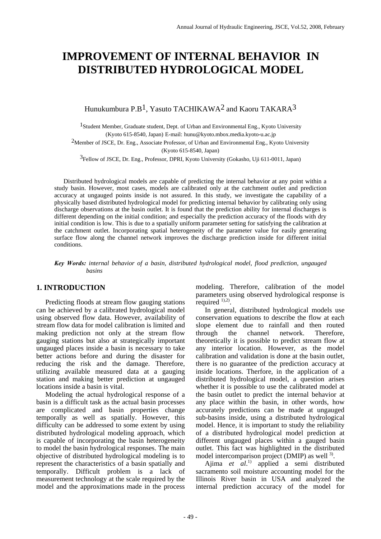# **IMPROVEMENT OF INTERNAL BEHAVIOR IN DISTRIBUTED HYDROLOGICAL MODEL**

Hunukumbura P.B1, Yasuto TACHIKAWA2 and Kaoru TAKARA3

<sup>1</sup>Student Member, Graduate student, Dept. of Urban and Environmental Eng., Kyoto University (Kyoto 615-8540, Japan) E-mail: hunu@kyoto.mbox.media.kyoto-u.ac.jp

<sup>2</sup>Member of JSCE, Dr. Eng., Associate Professor, of Urban and Environmental Eng., Kyoto University (Kyoto 615-8540, Japan)

3Fellow of JSCE, Dr. Eng., Professor, DPRI, Kyoto University (Gokasho, Uji 611-0011, Japan)

Distributed hydrological models are capable of predicting the internal behavior at any point within a study basin. However, most cases, models are calibrated only at the catchment outlet and prediction accuracy at ungauged points inside is not assured. In this study, we investigate the capability of a physically based distributed hydrological model for predicting internal behavior by calibrating only using discharge observations at the basin outlet. It is found that the prediction ability for internal discharges is different depending on the initial condition; and especially the prediction accuracy of the floods with dry initial condition is low. This is due to a spatially uniform parameter setting for satisfying the calibration at the catchment outlet. Incorporating spatial heterogeneity of the parameter value for easily generating surface flow along the channel network improves the discharge prediction inside for different initial conditions.

*Key Words: internal behavior of a basin, distributed hydrological model, flood prediction, ungauged basins* 

## **1. INTRODUCTION**

 Predicting floods at stream flow gauging stations can be achieved by a calibrated hydrological model using observed flow data. However, availability of stream flow data for model calibration is limited and making prediction not only at the stream flow gauging stations but also at strategically important ungauged places inside a basin is necessary to take better actions before and during the disaster for reducing the risk and the damage. Therefore, utilizing available measured data at a gauging station and making better prediction at ungauged locations inside a basin is vital.

Modeling the actual hydrological response of a basin is a difficult task as the actual basin processes are complicated and basin properties change temporally as well as spatially. However, this difficulty can be addressed to some extent by using distributed hydrological modeling approach, which is capable of incorporating the basin heterogeneity to model the basin hydrological responses. The main objective of distributed hydrological modeling is to represent the characteristics of a basin spatially and temporally. Difficult problem is a lack of measurement technology at the scale required by the model and the approximations made in the process

modeling. Therefore, calibration of the model parameters using observed hydrological response is required  $^{1,2)}$ .

In general, distributed hydrological models use conservation equations to describe the flow at each slope element due to rainfall and then routed through the channel network. Therefore, theoretically it is possible to predict stream flow at any interior location. However, as the model calibration and validation is done at the basin outlet, there is no guarantee of the prediction accuracy at inside locations. Therfore, in the application of a distributed hydrological model, a question arises whether it is possible to use the calibrated model at the basin outlet to predict the internal behavior at any place within the basin, in other words, how accurately predictions can be made at ungauged sub-basins inside, using a distributed hydrological model. Hence, it is important to study the reliability of a distributed hydrological model prediction at different ungauged places within a gauged basin outlet. This fact was highlighted in the distributed model intercomparison project (DMIP) as well <sup>3)</sup>.

Ajima *et al*. 1) applied a semi distributed sacramento soil moisture accounting model for the Illinois River basin in USA and analyzed the internal prediction accuracy of the model for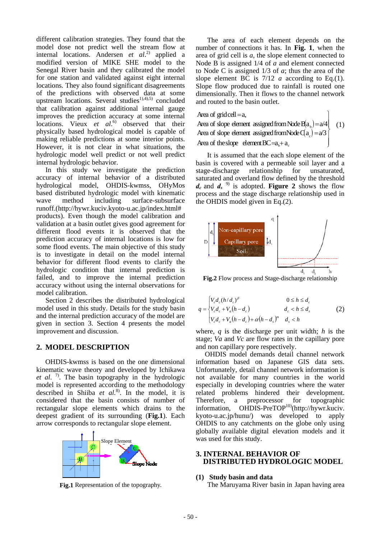different calibration strategies. They found that the model dose not predict well the stream flow at internal locations. Andersen *et al*. 2) applied a modified version of MIKE SHE model to the Senegal River basin and they calibrated the model for one station and validated against eight internal locations. They also found significant disagreements of the predictions with observed data at some upstream locations. Several studies<sup>1),4),5)</sup> concluded that calibration against additional internal gauge improves the prediction accuracy at some internal locations. Vieux *et al*. 6) observed that their physically based hydrological model is capable of making reliable predictions at some interior points. However, it is not clear in what situations, the hydrologic model well predict or not well predict internal hydrologic behavior.

In this study we investigate the prediction accuracy of internal behavior of a distributed hydrological model, OHDIS-kwmss, OHyMos based distributed hydrologic model with kinematic wave method including surface-subsurface runoff.(http://hywr.kuciv.kyoto-u.ac.jp/index.html# products). Even though the model calibration and validation at a basin outlet gives good agreement for different flood events it is observed that the prediction accuracy of internal locations is low for some flood events. The main objective of this study is to investigate in detail on the model internal behavior for different flood events to clarify the hydrologic condition that internal prediction is failed, and to improve the internal prediction accuracy without using the internal observations for model calibration.

Section 2 describes the distributed hydrological model used in this study. Details for the study basin and the internal prediction accuracy of the model are given in section 3. Section 4 presents the model improvement and discussion.

## **2. MODEL DESCRIPTION**

OHDIS-kwmss is based on the one dimensional kinematic wave theory and developed by Ichikawa *et al*. 7). The basin topography in the hydrologic model is represented according to the methodology described in Shiiba *et al.*8). In the model, it is considered that the basin consists of number of rectangular slope elements which drains to the deepest gradient of its surrounding (**Fig.1**). Each arrow corresponds to rectangular slope element.



**Fig.1** Representation of the topography.

The area of each element depends on the number of connections it has. In **Fig. 1**, when the area of grid cell is *a*, the slope element connected to Node B is assigned 1/4 of *a* and element connected to Node C is assigned 1/3 of *a*; thus the area of the slope element BC is 7/12 *a* according to Eq.(1). Slope flow produced due to rainfall is routed one dimensionally. Then it flows to the channel network and routed to the basin outlet.

Area of grid cell = 
$$
a
$$
,

(1)  $(a_{b})=a/4$ Area of slope element assigned from Node  $\text{C}(a_c) = a/3$  $\overline{\phantom{a}}$  $\overline{a}$ ⎭  $\left\{ \right\}$  $\vert$ Area of the slope element  $BC = a<sub>b</sub> + a<sub>c</sub>$ = Area of slope element assigned from Node  $B(a_b) = a/4$ 

It is assumed that the each slope element of the basin is covered with a permeable soil layer and a stage-discharge relationship for unsaturated, saturated and overland flow defined by the threshold  $d_c$  and  $d_s$ <sup>9)</sup> is adopted. **Figure 2** shows the flow process and the stage discharge relationship used in the OHDIS model given in Eq.(2).



**Fig.2** Flow process and Stage-discharge relationship

$$
q = \begin{cases} V_c d_c (h/d_c)^{\beta} & 0 \le h \le d_c \\ V_c d_c + V_a (h-d_c) & d_c < h \le d_s \\ V_c d_c + V_a (h-d_c) + \alpha (h-d_s)^m & d_s < h \end{cases}
$$
 (2)

where, *q* is the discharge per unit width; *h* is the stage; *Va* and *Vc* are flow rates in the capillary pore and non capillary pore respectively.

OHDIS model demands detail channel network information based on Japanese GIS data sets. Unfortunately, detail channel network information is not available for many countries in the world especially in developing countries where the water related problems hindered their development. Therefore, a preprocessor for topographic information, OHDIS-PreTOP<sup>10</sup>(http://hywr.kuciv. kyoto-u.ac.jp/hunu/) was developed to apply OHDIS to any catchments on the globe only using globally available digital elevation models and it was used for this study.

## **3. INTERNAL BEHAVIOR OF DISTRIBUTED HYDROLOGIC MODEL**

### **(1) Study basin and data**

The Maruyama River basin in Japan having area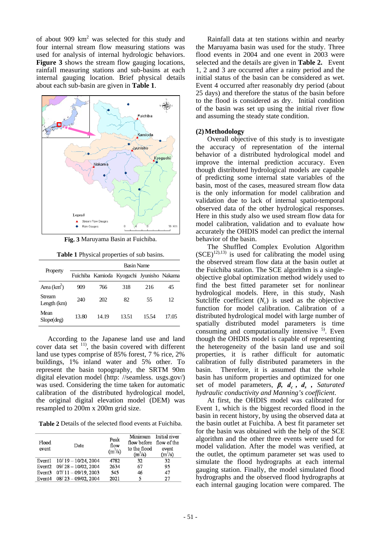of about 909  $km^2$  was selected for this study and four internal stream flow measuring stations was used for analysis of internal hydrologic behaviors. **Figure 3** shows the stream flow gauging locations, rainfall measuring stations and sub-basins at each internal gauging location. Brief physical details about each sub-basin are given in **Table 1**.



**Fig. 3** Maruyama Basin at Fuichiba.

|                             | <b>Basin Name</b> |       |                                           |       |       |  |
|-----------------------------|-------------------|-------|-------------------------------------------|-------|-------|--|
| Property                    |                   |       | Fuichiba Kamioda Kyoguchi Jyunisho Nakama |       |       |  |
| Area $(km^2)$               | 909               | 766   | 318                                       | 216   | 45    |  |
| Stream<br>Length (km)       | 240               | 202   | 82                                        | 55    | 12    |  |
| Mean<br>$Slope(\text{deg})$ | 13.80             | 14.19 | 13.51                                     | 15.54 | 17.05 |  |

**Table 1** Physical properties of sub basins.

According to the Japanese land use and land cover data set  $11$ ), the basin covered with different land use types comprise of 85% forest, 7 % rice, 2% buildings, 1% inland water and 5% other. To represent the basin topography, the SRTM 90m digital elevation model (http: //seamless. usgs.gov/) was used. Considering the time taken for automatic calibration of the distributed hydrological model, the original digital elevation model (DEM) was resampled to 200m x 200m grid size.

**Table 2** Details of the selected flood events at Fuichiba.

| Flood<br>event     | Date                   | Peak<br>flow<br>$(m^3/s)$ | Minimum<br>flow before flow of the<br>to the flood<br>$(m^3/s)$ | Initial river<br>event<br>$(m^3/s)$ |
|--------------------|------------------------|---------------------------|-----------------------------------------------------------------|-------------------------------------|
| Eventl             | $10/19 - 10/24$ , 2004 | 4782                      | 32                                                              | 32                                  |
| Event <sub>2</sub> | $09/28 - 10/02$ , 2004 | 2634                      | 67                                                              | 95                                  |
| Event <sub>3</sub> | $07/11 - 09/19, 2003$  | 545                       | 46                                                              | 47                                  |
| Event <sub>4</sub> | $08/23 - 09/02$ , 2004 | 2021                      | 5                                                               | 27                                  |

Rainfall data at ten stations within and nearby the Maruyama basin was used for the study. Three flood events in 2004 and one event in 2003 were selected and the details are given in **Table 2.** Event 1, 2 and 3 are occurred after a rainy period and the initial status of the basin can be considered as wet. Event 4 occurred after reasonably dry period (about 25 days) and therefore the status of the basin before to the flood is considered as dry. Initial condition of the basin was set up using the initial river flow and assuming the steady state condition.

### **(2)Methodology**

Overall objective of this study is to investigate the accuracy of representation of the internal behavior of a distributed hydrological model and improve the internal prediction accuracy. Even though distributed hydrological models are capable of predicting some internal state variables of the basin, most of the cases, measured stream flow data is the only information for model calibration and validation due to lack of internal spatio-temporal observed data of the other hydrological responses. Here in this study also we used stream flow data for model calibration, validation and to evaluate how accurately the OHDIS model can predict the internal behavior of the basin.

The Shuffled Complex Evolution Algorithm  $(SCE)^{12,13}$  is used for calibrating the model using the observed stream flow data at the basin outlet at the Fuichiba station. The SCE algorithm is a singleobjective global optimization method widely used to find the best fitted parameter set for nonlinear hydrological models. Here, in this study, Nash Sutcliffe coefficient  $(N_c)$  is used as the objective function for model calibration. Calibration of a distributed hydrological model with large number of spatially distributed model parameters is time consuming and computationally intensive  $5$ . Even though the OHDIS model is capable of representing the heterogeneity of the basin land use and soil properties, it is rather difficult for automatic calibration of fully distributed parameters in the basin. Therefore, it is assumed that the whole basin has uniform properties and optimized for one set of model parameters, *β, dc , ds , Saturated hydraulic conductivity and Manning's coefficient*.

At first, the OHDIS model was calibrated for Event 1, which is the biggest recorded flood in the basin in recent history, by using the observed data at the basin outlet at Fuichiba. A best fit parameter set for the basin was obtained with the help of the SCE algorithm and the other three events were used for model validation. After the model was verified, at the outlet, the optimum parameter set was used to simulate the flood hydrographs at each internal gauging station. Finally, the model simulated flood hydrographs and the observed flood hydrographs at each internal gauging location were compared. The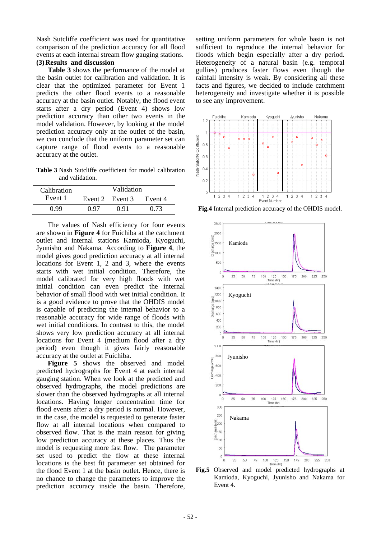Nash Sutcliffe coefficient was used for quantitative comparison of the prediction accuracy for all flood events at each internal stream flow gauging stations. **(3)Results and discussion** 

**Table 3** shows the performance of the model at the basin outlet for calibration and validation. It is clear that the optimized parameter for Event 1 predicts the other flood events to a reasonable accuracy at the basin outlet. Notably, the flood event starts after a dry period (Event 4) shows low prediction accuracy than other two events in the model validation. However, by looking at the model prediction accuracy only at the outlet of the basin, we can conclude that the uniform parameter set can capture range of flood events to a reasonable accuracy at the outlet.

**Table 3** Nash Sutcliffe coefficient for model calibration and validation.

| Calibration |      | Validation      |         |
|-------------|------|-----------------|---------|
| Event 1     |      | Event 2 Event 3 | Event 4 |
| N 99        | በ 97 | በ 91            | 0.73    |

The values of Nash efficiency for four events are shown in **Figure 4** for Fuichiba at the catchment outlet and internal stations Kamioda, Kyoguchi, Jyunisho and Nakama. According to **Figure 4**, the model gives good prediction accuracy at all internal locations for Event 1, 2 and 3, where the events starts with wet initial condition. Therefore, the model calibrated for very high floods with wet initial condition can even predict the internal behavior of small flood with wet initial condition. It is a good evidence to prove that the OHDIS model is capable of predicting the internal behavior to a reasonable accuracy for wide range of floods with wet initial conditions. In contrast to this, the model shows very low prediction accuracy at all internal locations for Event 4 (medium flood after a dry period) even though it gives fairly reasonable accuracy at the outlet at Fuichiba.

**Figure 5** shows the observed and model predicted hydrographs for Event 4 at each internal gauging station. When we look at the predicted and observed hydrographs, the model predictions are slower than the observed hydrographs at all internal locations. Having longer concentration time for flood events after a dry period is normal. However, in the case, the model is requested to generate faster flow at all internal locations when compared to observed flow. That is the main reason for giving low prediction accuracy at these places. Thus the model is requesting more fast flow. The parameter set used to predict the flow at these internal locations is the best fit parameter set obtained for the flood Event 1 at the basin outlet. Hence, there is no chance to change the parameters to improve the prediction accuracy inside the basin. Therefore,

setting uniform parameters for whole basin is not sufficient to reproduce the internal behavior for floods which begin especially after a dry period. Heterogeneity of a natural basin (e.g. temporal gullies) produces faster flows even though the rainfall intensity is weak. By considering all these facts and figures, we decided to include catchment heterogeneity and investigate whether it is possible to see any improvement.



**Fig.4** Internal prediction accuracy of the OHDIS model.



**Fig.5** Observed and model predicted hydrographs at Kamioda, Kyoguchi, Jyunisho and Nakama for Event 4.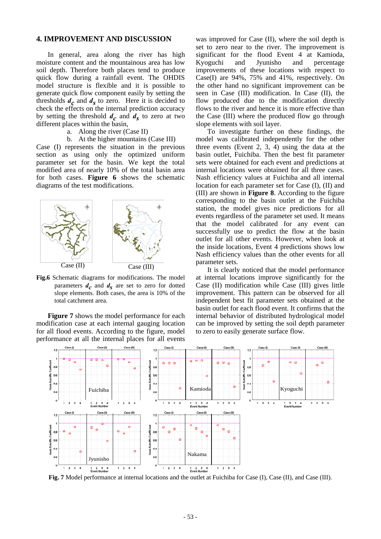## **4. IMPROVEMENT AND DISCUSSION**

In general, area along the river has high moisture content and the mountainous area has low soil depth. Therefore both places tend to produce quick flow during a rainfall event. The OHDIS model structure is flexible and it is possible to generate quick flow component easily by setting the thresholds  $d_c$  and  $d_s$  to zero. Here it is decided to check the effects on the internal prediction accuracy by setting the threshold  $d<sub>c</sub>$  and  $d<sub>s</sub>$  to zero at two different places within the basin,

- a. Along the river (Case II)
- b. At the higher mountains (Case III)

Case (I) represents the situation in the previous section as using only the optimized uniform parameter set for the basin. We kept the total modified area of nearly 10% of the total basin area for both cases. **Figure 6** shows the schematic diagrams of the test modifications.



**Fig.6** Schematic diagrams for modifications. The model parameters  $d_c$  and  $d_s$  are set to zero for dotted slope elements. Both cases, the area is 10% of the total catchment area.

**Figure 7** shows the model performance for each modification case at each internal gauging location for all flood events. According to the figure, model performance at all the internal places for all events

was improved for Case (II), where the soil depth is set to zero near to the river. The improvement is significant for the flood Event 4 at Kamioda, Kyoguchi and Jyunisho and percentage improvements of these locations with respect to Case(I) are 94%, 75% and 41%, respectively. On the other hand no significant improvement can be seen in Case (III) modification. In Case (II), the flow produced due to the modification directly flows to the river and hence it is more effective than the Case (III) where the produced flow go through slope elements with soil layer.

To investigate further on these findings, the model was calibrated independently for the other three events (Event 2, 3, 4) using the data at the basin outlet, Fuichiba. Then the best fit parameter sets were obtained for each event and predictions at internal locations were obtained for all three cases. Nash efficiency values at Fuichiba and all internal location for each parameter set for Case (I), (II) and (III) are shown in **Figure 8**. According to the figure corresponding to the basin outlet at the Fuichiba station, the model gives nice predictions for all events regardless of the parameter set used. It means that the model calibrated for any event can successfully use to predict the flow at the basin outlet for all other events. However, when look at the inside locations, Event 4 predictions shows low Nash efficiency values than the other events for all parameter sets.

It is clearly noticed that the model performance at internal locations improve significantly for the Case (II) modification while Case (III) gives little improvement. This pattern can be observed for all independent best fit parameter sets obtained at the basin outlet for each flood event. It confirms that the internal behavior of distributed hydrological model can be improved by setting the soil depth parameter to zero to easily generate surface flow.



**Fig. 7** Model performance at internal locations and the outlet at Fuichiba for Case (I), Case (II), and Case (III).